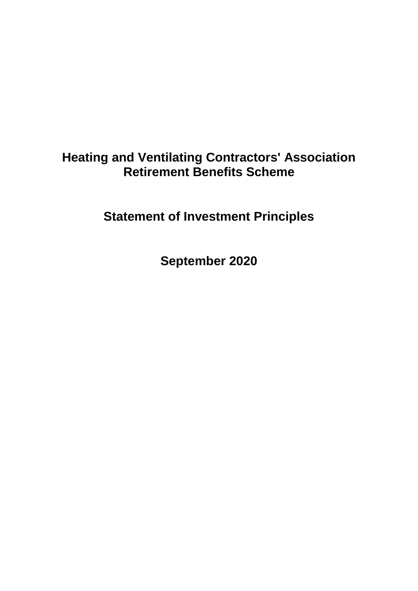# **Heating and Ventilating Contractors' Association Retirement Benefits Scheme**

**Statement of Investment Principles**

**September 2020**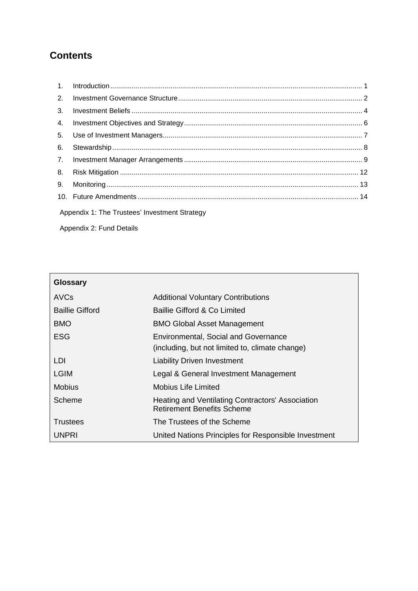## **Contents**

| Appendix 1: The Trustees' Investment Strategy |  |
|-----------------------------------------------|--|

Appendix 2: Fund Details

| Glossary               |                                                                                                |
|------------------------|------------------------------------------------------------------------------------------------|
| <b>AVCs</b>            | <b>Additional Voluntary Contributions</b>                                                      |
| <b>Baillie Gifford</b> | Baillie Gifford & Co Limited                                                                   |
| <b>BMO</b>             | <b>BMO Global Asset Management</b>                                                             |
| ESG                    | <b>Environmental, Social and Governance</b><br>(including, but not limited to, climate change) |
| LDI                    | <b>Liability Driven Investment</b>                                                             |
| <b>LGIM</b>            | Legal & General Investment Management                                                          |
| <b>Mobius</b>          | Mobius Life Limited                                                                            |
| Scheme                 | Heating and Ventilating Contractors' Association<br>Retirement Benefits Scheme                 |
| Trustees               | The Trustees of the Scheme                                                                     |
| <b>UNPRI</b>           | United Nations Principles for Responsible Investment                                           |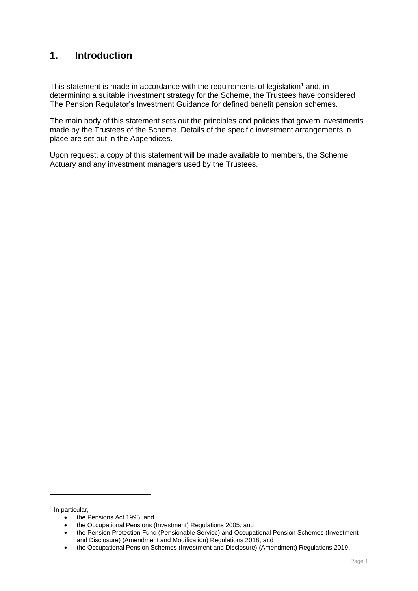## <span id="page-2-0"></span>**1. Introduction**

This statement is made in accordance with the requirements of legislation<sup>1</sup> and, in determining a suitable investment strategy for the Scheme, the Trustees have considered The Pension Regulator's Investment Guidance for defined benefit pension schemes.

The main body of this statement sets out the principles and policies that govern investments made by the Trustees of the Scheme. Details of the specific investment arrangements in place are set out in the Appendices.

Upon request, a copy of this statement will be made available to members, the Scheme Actuary and any investment managers used by the Trustees.

<sup>1</sup> In particular,

<sup>•</sup> the Pensions Act 1995; and

<sup>•</sup> the Occupational Pensions (Investment) Regulations 2005; and

<sup>•</sup> the Pension Protection Fund (Pensionable Service) and Occupational Pension Schemes (Investment and Disclosure) (Amendment and Modification) Regulations 2018; and

<sup>•</sup> the Occupational Pension Schemes (Investment and Disclosure) (Amendment) Regulations 2019.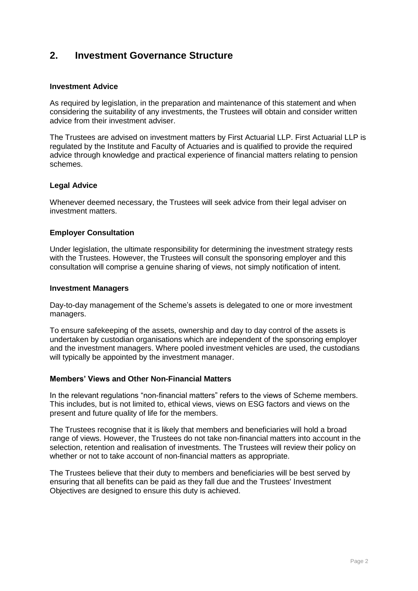### <span id="page-3-0"></span>**2. Investment Governance Structure**

#### **Investment Advice**

As required by legislation, in the preparation and maintenance of this statement and when considering the suitability of any investments, the Trustees will obtain and consider written advice from their investment adviser.

The Trustees are advised on investment matters by First Actuarial LLP. First Actuarial LLP is regulated by the Institute and Faculty of Actuaries and is qualified to provide the required advice through knowledge and practical experience of financial matters relating to pension schemes.

#### **Legal Advice**

Whenever deemed necessary, the Trustees will seek advice from their legal adviser on investment matters.

#### **Employer Consultation**

Under legislation, the ultimate responsibility for determining the investment strategy rests with the Trustees. However, the Trustees will consult the sponsoring employer and this consultation will comprise a genuine sharing of views, not simply notification of intent.

#### **Investment Managers**

Day-to-day management of the Scheme's assets is delegated to one or more investment managers.

To ensure safekeeping of the assets, ownership and day to day control of the assets is undertaken by custodian organisations which are independent of the sponsoring employer and the investment managers. Where pooled investment vehicles are used, the custodians will typically be appointed by the investment manager.

#### **Members' Views and Other Non-Financial Matters**

In the relevant regulations "non-financial matters" refers to the views of Scheme members. This includes, but is not limited to, ethical views, views on ESG factors and views on the present and future quality of life for the members.

The Trustees recognise that it is likely that members and beneficiaries will hold a broad range of views. However, the Trustees do not take non-financial matters into account in the selection, retention and realisation of investments. The Trustees will review their policy on whether or not to take account of non-financial matters as appropriate.

The Trustees believe that their duty to members and beneficiaries will be best served by ensuring that all benefits can be paid as they fall due and the Trustees' Investment Objectives are designed to ensure this duty is achieved.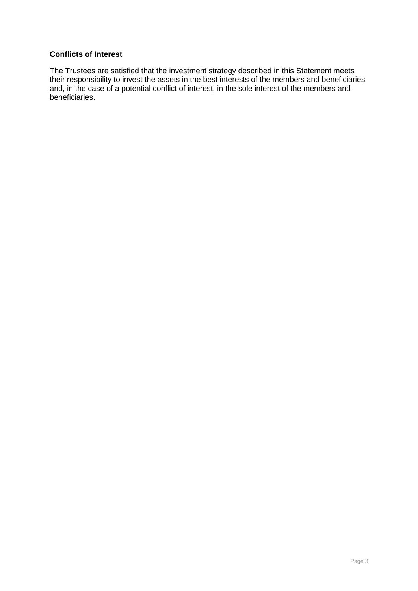#### **Conflicts of Interest**

The Trustees are satisfied that the investment strategy described in this Statement meets their responsibility to invest the assets in the best interests of the members and beneficiaries and, in the case of a potential conflict of interest, in the sole interest of the members and beneficiaries.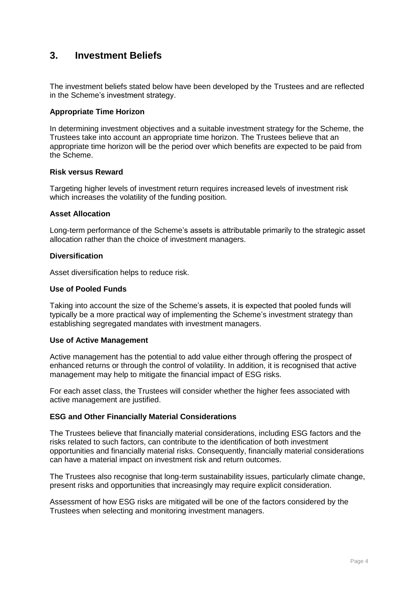## <span id="page-5-0"></span>**3. Investment Beliefs**

The investment beliefs stated below have been developed by the Trustees and are reflected in the Scheme's investment strategy.

#### **Appropriate Time Horizon**

In determining investment objectives and a suitable investment strategy for the Scheme, the Trustees take into account an appropriate time horizon. The Trustees believe that an appropriate time horizon will be the period over which benefits are expected to be paid from the Scheme.

#### **Risk versus Reward**

Targeting higher levels of investment return requires increased levels of investment risk which increases the volatility of the funding position.

#### **Asset Allocation**

Long-term performance of the Scheme's assets is attributable primarily to the strategic asset allocation rather than the choice of investment managers.

#### **Diversification**

Asset diversification helps to reduce risk.

#### **Use of Pooled Funds**

Taking into account the size of the Scheme's assets, it is expected that pooled funds will typically be a more practical way of implementing the Scheme's investment strategy than establishing segregated mandates with investment managers.

#### **Use of Active Management**

Active management has the potential to add value either through offering the prospect of enhanced returns or through the control of volatility. In addition, it is recognised that active management may help to mitigate the financial impact of ESG risks.

For each asset class, the Trustees will consider whether the higher fees associated with active management are justified.

#### **ESG and Other Financially Material Considerations**

The Trustees believe that financially material considerations, including ESG factors and the risks related to such factors, can contribute to the identification of both investment opportunities and financially material risks. Consequently, financially material considerations can have a material impact on investment risk and return outcomes.

The Trustees also recognise that long-term sustainability issues, particularly climate change, present risks and opportunities that increasingly may require explicit consideration.

Assessment of how ESG risks are mitigated will be one of the factors considered by the Trustees when selecting and monitoring investment managers.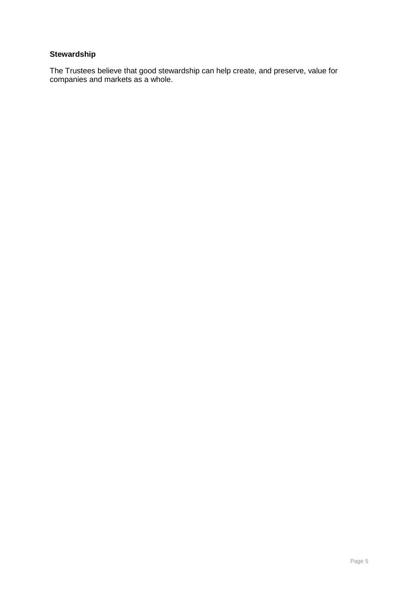### **Stewardship**

The Trustees believe that good stewardship can help create, and preserve, value for companies and markets as a whole.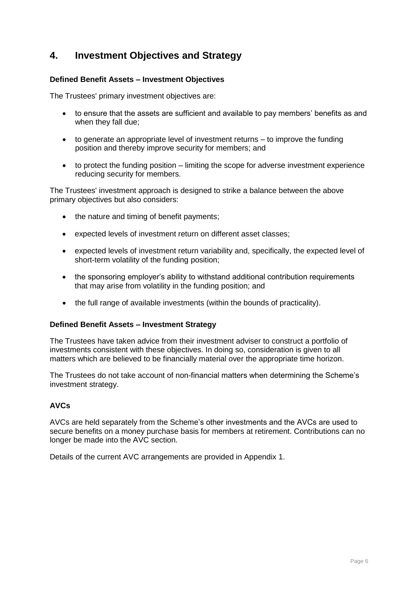## <span id="page-7-0"></span>**4. Investment Objectives and Strategy**

#### **Defined Benefit Assets – Investment Objectives**

The Trustees' primary investment objectives are:

- to ensure that the assets are sufficient and available to pay members' benefits as and when they fall due;
- to generate an appropriate level of investment returns to improve the funding position and thereby improve security for members; and
- to protect the funding position limiting the scope for adverse investment experience reducing security for members.

The Trustees' investment approach is designed to strike a balance between the above primary objectives but also considers:

- the nature and timing of benefit payments;
- expected levels of investment return on different asset classes;
- expected levels of investment return variability and, specifically, the expected level of short-term volatility of the funding position;
- the sponsoring employer's ability to withstand additional contribution requirements that may arise from volatility in the funding position; and
- the full range of available investments (within the bounds of practicality).

#### **Defined Benefit Assets – Investment Strategy**

The Trustees have taken advice from their investment adviser to construct a portfolio of investments consistent with these objectives. In doing so, consideration is given to all matters which are believed to be financially material over the appropriate time horizon.

The Trustees do not take account of non-financial matters when determining the Scheme's investment strategy.

#### **AVCs**

AVCs are held separately from the Scheme's other investments and the AVCs are used to secure benefits on a money purchase basis for members at retirement. Contributions can no longer be made into the AVC section.

Details of the current AVC arrangements are provided in Appendix 1.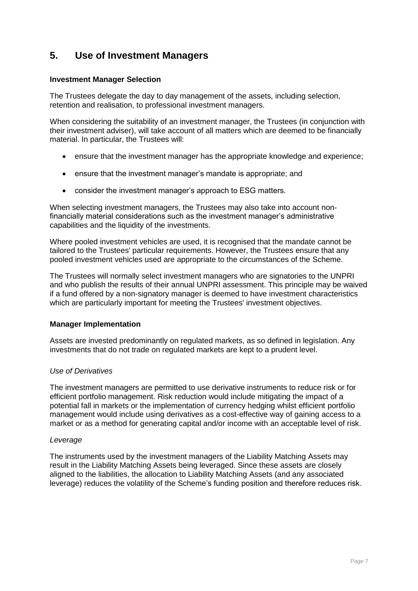## <span id="page-8-0"></span>**5. Use of Investment Managers**

#### **Investment Manager Selection**

The Trustees delegate the day to day management of the assets, including selection, retention and realisation, to professional investment managers.

When considering the suitability of an investment manager, the Trustees (in conjunction with their investment adviser), will take account of all matters which are deemed to be financially material. In particular, the Trustees will:

- ensure that the investment manager has the appropriate knowledge and experience;
- ensure that the investment manager's mandate is appropriate; and
- consider the investment manager's approach to ESG matters.

When selecting investment managers, the Trustees may also take into account nonfinancially material considerations such as the investment manager's administrative capabilities and the liquidity of the investments.

Where pooled investment vehicles are used, it is recognised that the mandate cannot be tailored to the Trustees' particular requirements. However, the Trustees ensure that any pooled investment vehicles used are appropriate to the circumstances of the Scheme.

The Trustees will normally select investment managers who are signatories to the UNPRI and who publish the results of their annual UNPRI assessment. This principle may be waived if a fund offered by a non-signatory manager is deemed to have investment characteristics which are particularly important for meeting the Trustees' investment objectives.

#### **Manager Implementation**

Assets are invested predominantly on regulated markets, as so defined in legislation. Any investments that do not trade on regulated markets are kept to a prudent level.

#### *Use of Derivatives*

The investment managers are permitted to use derivative instruments to reduce risk or for efficient portfolio management. Risk reduction would include mitigating the impact of a potential fall in markets or the implementation of currency hedging whilst efficient portfolio management would include using derivatives as a cost-effective way of gaining access to a market or as a method for generating capital and/or income with an acceptable level of risk.

#### *Leverage*

The instruments used by the investment managers of the Liability Matching Assets may result in the Liability Matching Assets being leveraged. Since these assets are closely aligned to the liabilities, the allocation to Liability Matching Assets (and any associated leverage) reduces the volatility of the Scheme's funding position and therefore reduces risk.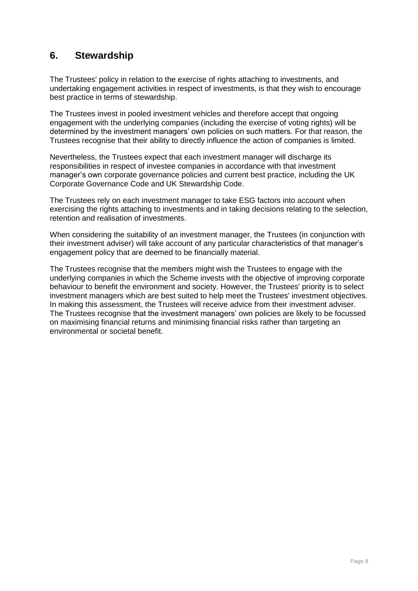## <span id="page-9-0"></span>**6. Stewardship**

The Trustees' policy in relation to the exercise of rights attaching to investments, and undertaking engagement activities in respect of investments, is that they wish to encourage best practice in terms of stewardship.

The Trustees invest in pooled investment vehicles and therefore accept that ongoing engagement with the underlying companies (including the exercise of voting rights) will be determined by the investment managers' own policies on such matters. For that reason, the Trustees recognise that their ability to directly influence the action of companies is limited.

Nevertheless, the Trustees expect that each investment manager will discharge its responsibilities in respect of investee companies in accordance with that investment manager's own corporate governance policies and current best practice, including the UK Corporate Governance Code and UK Stewardship Code.

The Trustees rely on each investment manager to take ESG factors into account when exercising the rights attaching to investments and in taking decisions relating to the selection, retention and realisation of investments.

When considering the suitability of an investment manager, the Trustees (in conjunction with their investment adviser) will take account of any particular characteristics of that manager's engagement policy that are deemed to be financially material.

The Trustees recognise that the members might wish the Trustees to engage with the underlying companies in which the Scheme invests with the objective of improving corporate behaviour to benefit the environment and society. However, the Trustees' priority is to select investment managers which are best suited to help meet the Trustees' investment objectives. In making this assessment, the Trustees will receive advice from their investment adviser. The Trustees recognise that the investment managers' own policies are likely to be focussed on maximising financial returns and minimising financial risks rather than targeting an environmental or societal benefit.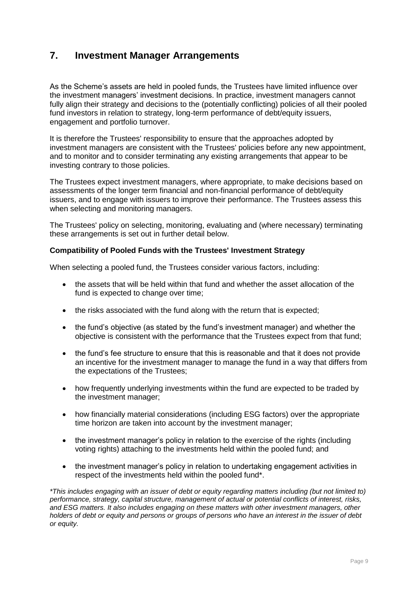### <span id="page-10-0"></span>**7. Investment Manager Arrangements**

As the Scheme's assets are held in pooled funds, the Trustees have limited influence over the investment managers' investment decisions. In practice, investment managers cannot fully align their strategy and decisions to the (potentially conflicting) policies of all their pooled fund investors in relation to strategy, long-term performance of debt/equity issuers, engagement and portfolio turnover.

It is therefore the Trustees' responsibility to ensure that the approaches adopted by investment managers are consistent with the Trustees' policies before any new appointment, and to monitor and to consider terminating any existing arrangements that appear to be investing contrary to those policies.

The Trustees expect investment managers, where appropriate, to make decisions based on assessments of the longer term financial and non-financial performance of debt/equity issuers, and to engage with issuers to improve their performance. The Trustees assess this when selecting and monitoring managers.

The Trustees' policy on selecting, monitoring, evaluating and (where necessary) terminating these arrangements is set out in further detail below.

#### **Compatibility of Pooled Funds with the Trustees' Investment Strategy**

When selecting a pooled fund, the Trustees consider various factors, including:

- the assets that will be held within that fund and whether the asset allocation of the fund is expected to change over time;
- the risks associated with the fund along with the return that is expected;
- the fund's objective (as stated by the fund's investment manager) and whether the objective is consistent with the performance that the Trustees expect from that fund;
- the fund's fee structure to ensure that this is reasonable and that it does not provide an incentive for the investment manager to manage the fund in a way that differs from the expectations of the Trustees;
- how frequently underlying investments within the fund are expected to be traded by the investment manager;
- how financially material considerations (including ESG factors) over the appropriate time horizon are taken into account by the investment manager;
- the investment manager's policy in relation to the exercise of the rights (including voting rights) attaching to the investments held within the pooled fund; and
- the investment manager's policy in relation to undertaking engagement activities in respect of the investments held within the pooled fund\*.

*\*This includes engaging with an issuer of debt or equity regarding matters including (but not limited to) performance, strategy, capital structure, management of actual or potential conflicts of interest, risks, and ESG matters. It also includes engaging on these matters with other investment managers, other holders of debt or equity and persons or groups of persons who have an interest in the issuer of debt or equity.*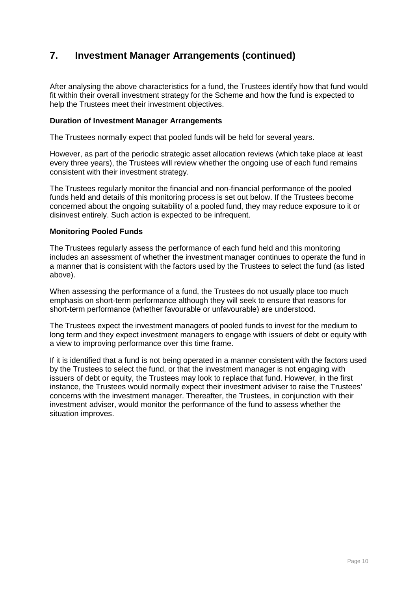## **7. Investment Manager Arrangements (continued)**

After analysing the above characteristics for a fund, the Trustees identify how that fund would fit within their overall investment strategy for the Scheme and how the fund is expected to help the Trustees meet their investment objectives.

#### **Duration of Investment Manager Arrangements**

The Trustees normally expect that pooled funds will be held for several years.

However, as part of the periodic strategic asset allocation reviews (which take place at least every three years), the Trustees will review whether the ongoing use of each fund remains consistent with their investment strategy.

The Trustees regularly monitor the financial and non-financial performance of the pooled funds held and details of this monitoring process is set out below. If the Trustees become concerned about the ongoing suitability of a pooled fund, they may reduce exposure to it or disinvest entirely. Such action is expected to be infrequent.

#### **Monitoring Pooled Funds**

The Trustees regularly assess the performance of each fund held and this monitoring includes an assessment of whether the investment manager continues to operate the fund in a manner that is consistent with the factors used by the Trustees to select the fund (as listed above).

When assessing the performance of a fund, the Trustees do not usually place too much emphasis on short-term performance although they will seek to ensure that reasons for short-term performance (whether favourable or unfavourable) are understood.

The Trustees expect the investment managers of pooled funds to invest for the medium to long term and they expect investment managers to engage with issuers of debt or equity with a view to improving performance over this time frame.

If it is identified that a fund is not being operated in a manner consistent with the factors used by the Trustees to select the fund, or that the investment manager is not engaging with issuers of debt or equity, the Trustees may look to replace that fund. However, in the first instance, the Trustees would normally expect their investment adviser to raise the Trustees' concerns with the investment manager. Thereafter, the Trustees, in conjunction with their investment adviser, would monitor the performance of the fund to assess whether the situation improves.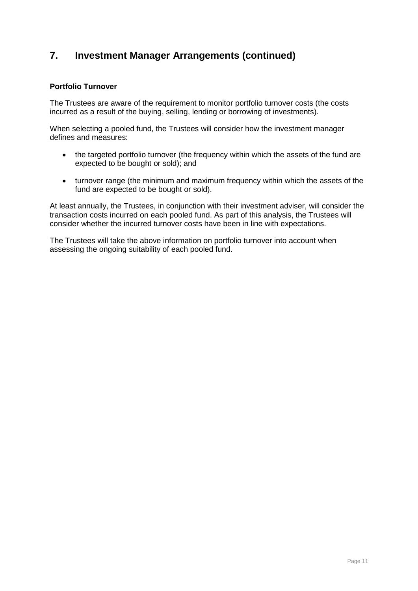## **7. Investment Manager Arrangements (continued)**

#### **Portfolio Turnover**

The Trustees are aware of the requirement to monitor portfolio turnover costs (the costs incurred as a result of the buying, selling, lending or borrowing of investments).

When selecting a pooled fund, the Trustees will consider how the investment manager defines and measures:

- the targeted portfolio turnover (the frequency within which the assets of the fund are expected to be bought or sold); and
- turnover range (the minimum and maximum frequency within which the assets of the fund are expected to be bought or sold).

At least annually, the Trustees, in conjunction with their investment adviser, will consider the transaction costs incurred on each pooled fund. As part of this analysis, the Trustees will consider whether the incurred turnover costs have been in line with expectations.

The Trustees will take the above information on portfolio turnover into account when assessing the ongoing suitability of each pooled fund.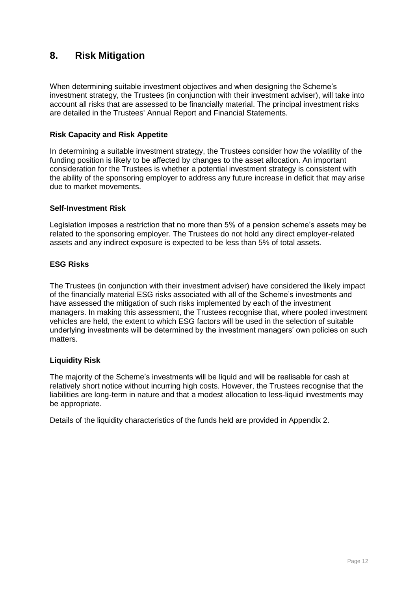## <span id="page-13-0"></span>**8. Risk Mitigation**

When determining suitable investment objectives and when designing the Scheme's investment strategy, the Trustees (in conjunction with their investment adviser), will take into account all risks that are assessed to be financially material. The principal investment risks are detailed in the Trustees' Annual Report and Financial Statements.

#### **Risk Capacity and Risk Appetite**

In determining a suitable investment strategy, the Trustees consider how the volatility of the funding position is likely to be affected by changes to the asset allocation. An important consideration for the Trustees is whether a potential investment strategy is consistent with the ability of the sponsoring employer to address any future increase in deficit that may arise due to market movements.

#### **Self-Investment Risk**

Legislation imposes a restriction that no more than 5% of a pension scheme's assets may be related to the sponsoring employer. The Trustees do not hold any direct employer-related assets and any indirect exposure is expected to be less than 5% of total assets.

#### **ESG Risks**

The Trustees (in conjunction with their investment adviser) have considered the likely impact of the financially material ESG risks associated with all of the Scheme's investments and have assessed the mitigation of such risks implemented by each of the investment managers. In making this assessment, the Trustees recognise that, where pooled investment vehicles are held, the extent to which ESG factors will be used in the selection of suitable underlying investments will be determined by the investment managers' own policies on such matters.

#### **Liquidity Risk**

The majority of the Scheme's investments will be liquid and will be realisable for cash at relatively short notice without incurring high costs. However, the Trustees recognise that the liabilities are long-term in nature and that a modest allocation to less-liquid investments may be appropriate.

Details of the liquidity characteristics of the funds held are provided in Appendix 2.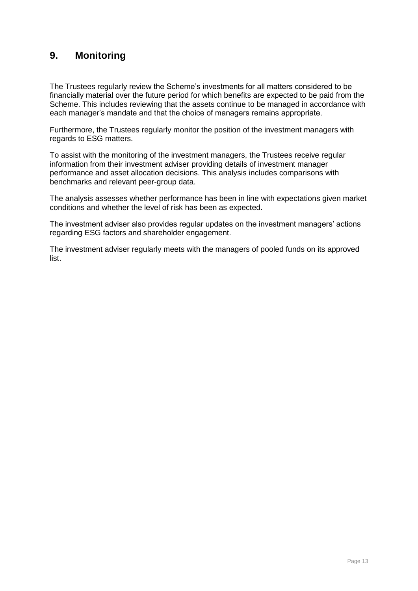## <span id="page-14-0"></span>**9. Monitoring**

The Trustees regularly review the Scheme's investments for all matters considered to be financially material over the future period for which benefits are expected to be paid from the Scheme. This includes reviewing that the assets continue to be managed in accordance with each manager's mandate and that the choice of managers remains appropriate.

Furthermore, the Trustees regularly monitor the position of the investment managers with regards to ESG matters.

To assist with the monitoring of the investment managers, the Trustees receive regular information from their investment adviser providing details of investment manager performance and asset allocation decisions. This analysis includes comparisons with benchmarks and relevant peer-group data.

The analysis assesses whether performance has been in line with expectations given market conditions and whether the level of risk has been as expected.

The investment adviser also provides regular updates on the investment managers' actions regarding ESG factors and shareholder engagement.

The investment adviser regularly meets with the managers of pooled funds on its approved list.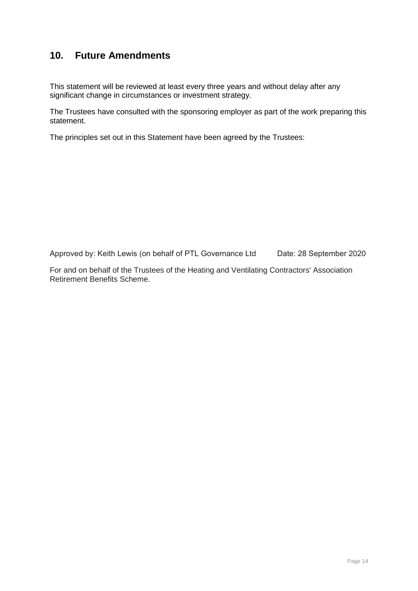## <span id="page-15-0"></span>**10. Future Amendments**

This statement will be reviewed at least every three years and without delay after any significant change in circumstances or investment strategy.

The Trustees have consulted with the sponsoring employer as part of the work preparing this statement.

The principles set out in this Statement have been agreed by the Trustees:

Approved by: Keith Lewis (on behalf of PTL Governance Ltd Date: 28 September 2020

For and on behalf of the Trustees of the Heating and Ventilating Contractors' Association Retirement Benefits Scheme.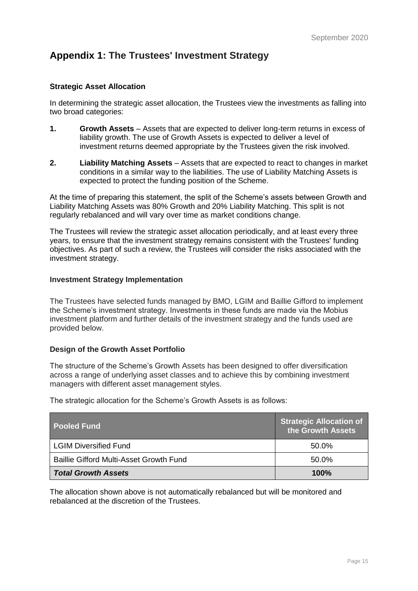## **Appendix 1: The Trustees' Investment Strategy**

#### **Strategic Asset Allocation**

In determining the strategic asset allocation, the Trustees view the investments as falling into two broad categories:

- **1. Growth Assets** Assets that are expected to deliver long-term returns in excess of liability growth. The use of Growth Assets is expected to deliver a level of investment returns deemed appropriate by the Trustees given the risk involved.
- **2. Liability Matching Assets** Assets that are expected to react to changes in market conditions in a similar way to the liabilities. The use of Liability Matching Assets is expected to protect the funding position of the Scheme.

At the time of preparing this statement, the split of the Scheme's assets between Growth and Liability Matching Assets was 80% Growth and 20% Liability Matching. This split is not regularly rebalanced and will vary over time as market conditions change.

The Trustees will review the strategic asset allocation periodically, and at least every three years, to ensure that the investment strategy remains consistent with the Trustees' funding objectives. As part of such a review, the Trustees will consider the risks associated with the investment strategy.

#### **Investment Strategy Implementation**

The Trustees have selected funds managed by BMO, LGIM and Baillie Gifford to implement the Scheme's investment strategy. Investments in these funds are made via the Mobius investment platform and further details of the investment strategy and the funds used are provided below.

#### **Design of the Growth Asset Portfolio**

The structure of the Scheme's Growth Assets has been designed to offer diversification across a range of underlying asset classes and to achieve this by combining investment managers with different asset management styles.

The strategic allocation for the Scheme's Growth Assets is as follows:

| l Pooled Fund                           | <b>Strategic Allocation of</b><br>the Growth Assets |
|-----------------------------------------|-----------------------------------------------------|
| <b>LGIM Diversified Fund</b>            | 50.0%                                               |
| Baillie Gifford Multi-Asset Growth Fund | 50.0%                                               |
| <b>Total Growth Assets</b>              | 100%                                                |

The allocation shown above is not automatically rebalanced but will be monitored and rebalanced at the discretion of the Trustees.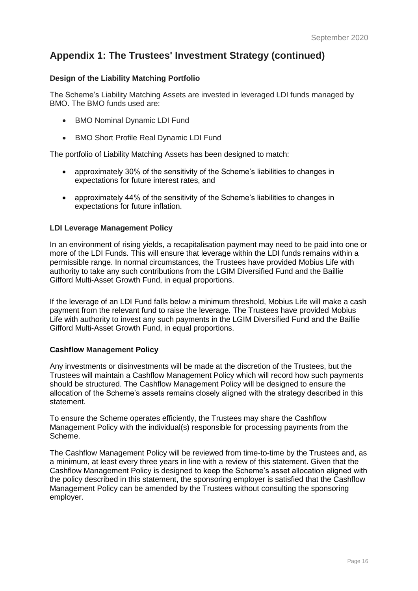## **Appendix 1: The Trustees' Investment Strategy (continued)**

#### **Design of the Liability Matching Portfolio**

The Scheme's Liability Matching Assets are invested in leveraged LDI funds managed by BMO. The BMO funds used are:

- BMO Nominal Dynamic LDI Fund
- BMO Short Profile Real Dynamic LDI Fund

The portfolio of Liability Matching Assets has been designed to match:

- approximately 30% of the sensitivity of the Scheme's liabilities to changes in expectations for future interest rates, and
- approximately 44% of the sensitivity of the Scheme's liabilities to changes in expectations for future inflation.

#### **LDI Leverage Management Policy**

In an environment of rising yields, a recapitalisation payment may need to be paid into one or more of the LDI Funds. This will ensure that leverage within the LDI funds remains within a permissible range. In normal circumstances, the Trustees have provided Mobius Life with authority to take any such contributions from the LGIM Diversified Fund and the Baillie Gifford Multi-Asset Growth Fund, in equal proportions.

If the leverage of an LDI Fund falls below a minimum threshold, Mobius Life will make a cash payment from the relevant fund to raise the leverage. The Trustees have provided Mobius Life with authority to invest any such payments in the LGIM Diversified Fund and the Baillie Gifford Multi-Asset Growth Fund, in equal proportions.

#### **Cashflow Management Policy**

Any investments or disinvestments will be made at the discretion of the Trustees, but the Trustees will maintain a Cashflow Management Policy which will record how such payments should be structured. The Cashflow Management Policy will be designed to ensure the allocation of the Scheme's assets remains closely aligned with the strategy described in this statement.

To ensure the Scheme operates efficiently, the Trustees may share the Cashflow Management Policy with the individual(s) responsible for processing payments from the Scheme.

The Cashflow Management Policy will be reviewed from time-to-time by the Trustees and, as a minimum, at least every three years in line with a review of this statement. Given that the Cashflow Management Policy is designed to keep the Scheme's asset allocation aligned with the policy described in this statement, the sponsoring employer is satisfied that the Cashflow Management Policy can be amended by the Trustees without consulting the sponsoring employer.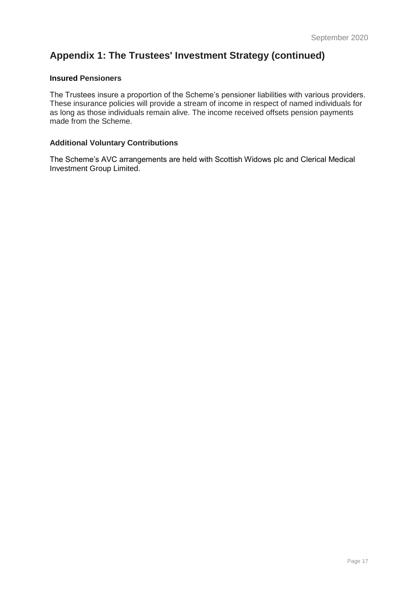## **Appendix 1: The Trustees' Investment Strategy (continued)**

#### **Insured Pensioners**

The Trustees insure a proportion of the Scheme's pensioner liabilities with various providers. These insurance policies will provide a stream of income in respect of named individuals for as long as those individuals remain alive. The income received offsets pension payments made from the Scheme.

#### **Additional Voluntary Contributions**

The Scheme's AVC arrangements are held with Scottish Widows plc and Clerical Medical Investment Group Limited.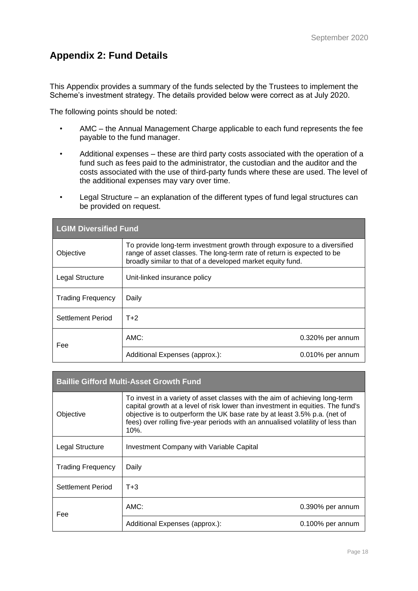## **Appendix 2: Fund Details**

This Appendix provides a summary of the funds selected by the Trustees to implement the Scheme's investment strategy. The details provided below were correct as at July 2020.

The following points should be noted:

- AMC the Annual Management Charge applicable to each fund represents the fee payable to the fund manager.
- Additional expenses these are third party costs associated with the operation of a fund such as fees paid to the administrator, the custodian and the auditor and the costs associated with the use of third-party funds where these are used. The level of the additional expenses may vary over time.
- Legal Structure an explanation of the different types of fund legal structures can be provided on request.

| <b>LGIM Diversified Fund</b> |                                                                                                                                                                                                                  |                  |  |
|------------------------------|------------------------------------------------------------------------------------------------------------------------------------------------------------------------------------------------------------------|------------------|--|
| Objective                    | To provide long-term investment growth through exposure to a diversified<br>range of asset classes. The long-term rate of return is expected to be<br>broadly similar to that of a developed market equity fund. |                  |  |
| Legal Structure              | Unit-linked insurance policy                                                                                                                                                                                     |                  |  |
| <b>Trading Frequency</b>     | Daily                                                                                                                                                                                                            |                  |  |
| Settlement Period            | $T+2$                                                                                                                                                                                                            |                  |  |
| Fee                          | $AMC$ :                                                                                                                                                                                                          | 0.320% per annum |  |
|                              | Additional Expenses (approx.):                                                                                                                                                                                   | 0.010% per annum |  |

| <b>Baillie Gifford Multi-Asset Growth Fund</b> |                                                                                                                                                                                                                                                                                                                                           |                  |  |
|------------------------------------------------|-------------------------------------------------------------------------------------------------------------------------------------------------------------------------------------------------------------------------------------------------------------------------------------------------------------------------------------------|------------------|--|
| Objective                                      | To invest in a variety of asset classes with the aim of achieving long-term<br>capital growth at a level of risk lower than investment in equities. The fund's<br>objective is to outperform the UK base rate by at least 3.5% p.a. (net of<br>fees) over rolling five-year periods with an annualised volatility of less than<br>$10%$ . |                  |  |
| Legal Structure                                | <b>Investment Company with Variable Capital</b>                                                                                                                                                                                                                                                                                           |                  |  |
| Trading Frequency                              | Daily                                                                                                                                                                                                                                                                                                                                     |                  |  |
| Settlement Period                              | $T + 3$                                                                                                                                                                                                                                                                                                                                   |                  |  |
| Fee                                            | AMC:                                                                                                                                                                                                                                                                                                                                      | 0.390% per annum |  |
|                                                | Additional Expenses (approx.):                                                                                                                                                                                                                                                                                                            | 0.100% per annum |  |